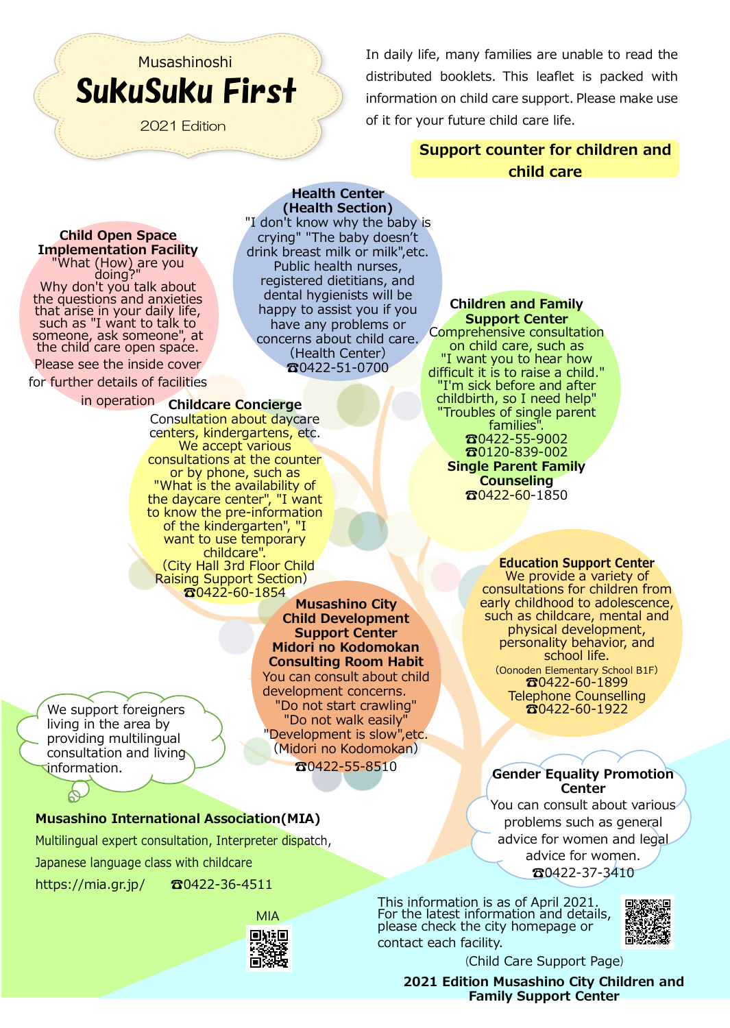# SukuSuku First Musashinoshi

2021 Edition

In daily life, many families are unable to read the distributed booklets. This leaflet is packed with information on child care support. Please make use of it for your future child care life.

> Support counter for children and child care

Child Open Space **Implementation Facility**<br>"What (How) are you what (How) are you "What (How) are you"<br>"doing?"<br>Why don't you talk about the questions and anxieties that arise in your daily life, such as "I want to talk to someone, ask someone", at the child care open space.

Please see the inside cover

for further details of facilities

## in operation Childcare Concierge

Consultation about daycare centers, kindergartens, etc. We accept various consultations at the counter or by phone, such as "What is the availability of the daycare center", "I want to know the pre-information of the kindergarten", "I want to use temporary childcare". (City Hall 3rd Floor Child Raising Support Section)  $\mathbf{a}$ 0422-60-1854

Musashino City Child Development Support Center Midori no Kodomokan Consulting Room Habit You can consult about child development concerns. "Do not start crawling" "Do not walk easily" "Development is slow",etc. (Midori no Kodomokan) ☎0422-55-8510

We support foreigners living in the area by providing multilingual consultation and living information.

## Musashino International Association(MIA)

Multilingual expert consultation, Interpreter dispatch,

Japanese language class with childcare

<https://mia.gr.jp/> ☎0422-36-4511



Health Center (Health Section) "I don't know why the baby is crying" "The baby doesn't drink breast milk or milk",etc. Public health nurses, registered dietitians, and dental hygienists will be happy to assist you if you have any problems or concerns about child care. (Health Center) ☎0422-51-0700

Children and Family Support Center Comprehensive consultation on child care, such as "I want you to hear how difficult it is to raise a child." "I'm sick before and after childbirth, so I need help"

Troubles of single parent families". ☎0422-55-9002 ☎0120-839-002 Single Parent Family **Counseling** ☎0422-60-1850

## Education Support Center

We provide a variety of consultations for children from early childhood to adolescence, such as childcare, mental and physical development, personality behavior, and school life. (Oonoden Elementary School B1F)

☎0422-60-1899 Telephone Counselling ☎0422-60-1922

## Gender Equality Promotion **Center**

You can consult about various problems such as general advice for women and legal advice for women. ☎0422-37-3410

This information is as of April 2021. For the latest information and details, please check the city homepage or contact each facility.



(Child Care Support Page)

2021 Edition Musashino City Children and Family Support Center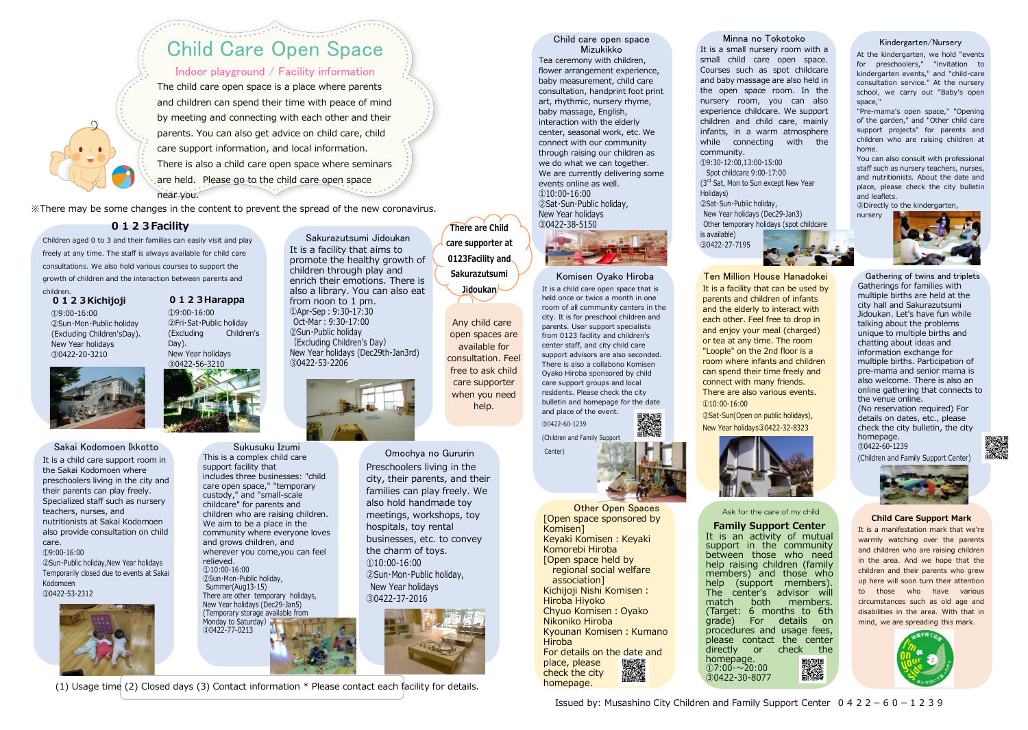※There may be some changes in the content to prevent the spread of the new coronavirus.

## Kindergarten/Nursery

At the kindergarten, we hold "events for preschoolers," "invitation to kindergarten events," and "child-care consultation service." At the nursery school, we carry out "Baby's open space,"

"Pre-mama's open space," "Opening of the garden," and "Other child care support projects" for parents and children who are raising children at home.

You can also consult with professional staff such as nursery teachers, nurses, and nutritionists. About the date and place, please check the city bulletin and leaflets.

③Directly to the kindergarten,

nursery



Minna no Tokotoko It is a small nursery room with a small child care open space. Courses such as spot childcare and baby massage are also held in the open space room. In the nursery room, you can also experience childcare. We support children and child care, mainly infants, in a warm atmosphere while connecting with the community.

①9:30-12:00,13:00-15:00 Spot childcare 9:00-17:00 (3<sup>rd</sup> Sat, Mon to Sun except New Year Holidays) ②Sat・Sun・Public holiday, New Year holidays (Dec29-Jan3) Other temporary holidays (spot childcare

is available) ③0422-27-7195

Ten Million House Hanadokei It is a facility that can be used by parents and children of infants and the elderly to interact with each other. Feel free to drop in and enjoy your meal (charged) or tea at any time. The room "Loople" on the 2nd floor is a room where infants and children can spend their time freely and connect with many friends. There are also various events. ①10:00-16:00

 $(1)9:00-16:00$ ②Fri・Sat・Public holiday (Excluding Children's Day)、 New Year holidays ③0422-56-3210



②Sat・Sun(Open on public holidays), New Year holidays③0422-32-8323



 $(1)9:00-16:00$ ②Sun・Mon・Public holiday (Excluding Children'sDay)、 New Year holidays ③0422-20-3210

> Omochya no Gururin Preschoolers living in the city, their parents, and their families can play freely. We also hold handmade toy meetings, workshops, toy hospitals, toy rental businesses, etc. to convey the charm of toys. ①10:00-16:00 ②Sun・Mon・Public holiday, New Year holidays ③0422-37-2016



## Komisen Oyako Hiroba

It is a child care open space that is held once or twice a month in one room of all community centers in the city. It is for preschool children and parents. User support specialists from 0123 facility and children's center staff, and city child care support advisors are also seconded. There is also a collabono Komisen Oyako Hiroba sponsored by child care support groups and local residents. Please check the city bulletin and homepage for the date and place of the event.

Sakai Kodomoen Ikkotto Sukusuku Izumi alikuwa na Gururin (Center) Sukusuku Izumi This is a complex child care support facility that includes three businesses: "child care open space," "temporary custody," and "small-scale childcare" for parents and children who are raising children. We aim to be a place in the community where everyone loves and grows children, and wherever you come,you can feel relieved. ①10:00-16:00 ②Sun・Mon・Public holiday, Summer(Aug13-15) There are other temporary holidays, New Year holidays (Dec29-Jan5) (Temporary storage available from Monday to Saturday) ③0422-77-0213

③0422-60-1239 (Children and Family Support

It is a child care support room in the Sakai Kodomoen where preschoolers living in the city and their parents can play freely. Specialized staff such as nursery teachers, nurses, and nutritionists at Sakai Kodomoen also provide consultation on child care. ①9:00-16:00

②Sun・Public holiday,New Year holidays Temporarily closed due to events at Sakai Kodomoen ③0422-53-2312



## 0123Harappa

## Sakurazutsumi Jidoukan It is a facility that aims to

promote the healthy growth of children through play and enrich their emotions. There is also a library. You can also eat from noon to 1 pm. ①Apr-Sep:9:30-17:30 Oct-Mar:9:30-17:00 ②Sun・Public holiday (Excluding Children's Day) New Year holidays (Dec29th-Jan3rd) ③0422-53-2206



There are Child care supporter at 0123Facility and Sakurazutsumi Jidoukan<sup>/</sup>



Gathering of twins and triplets Gatherings for families with multiple births are held at the city hall and Sakurazutsumi Jidoukan. Let's have fun while talking about the problems unique to multiple births and chatting about ideas and information exchange for multiple births. Participation of pre-mama and senior mama is also welcome. There is also an online gathering that connects to the venue online.

(No reservation required) For details on dates, etc., please check the city bulletin, the city homepage. ③0422-60-1239

(Children and Family Support Center)





Family Support Center It is an activity of mutual support in the community between those who need help raising children (family members) and those who help (support members). The center's advisor will<br>match both members. members. (Target: 6 months to 6th grade) For details on procedures and usage fees, please contact the center directly or check the homepage. ■<br>茶碗  $①7:00 - 20:00$ ③0422-30-8077

Issued by: Musashino City Children and Family Support Center  $0, 4, 2, 2-6, 0-1, 2, 3, 9$ 



### 0123Kichijoji children.

Child care open space Mizukikko Tea ceremony with children, flower arrangement experience, baby measurement, child care consultation, handprint foot print art, rhythmic, nursery rhyme, baby massage, English, interaction with the elderly center, seasonal work, etc. We connect with our community through raising our children as we do what we can together. We are currently delivering some events online as well. ①10:00-16:00 ②Sat・Sun・Public holiday, New Year holidays ③0422-38-5150



Ask for the care of my child

## 0123Facility

Children aged 0 to 3 and their families can easily visit and play freely at any time. The staff is always available for child care consultations. We also hold various courses to support the growth of children and the interaction between parents and

### Child Care Support Mark

It is a manifestation mark that we're warmly watching over the parents and children who are raising children in the area. And we hope that the children and their parents who grew up here will soon turn their attention to those who have various circumstances such as old age and disabilities in the area. With that in mind, we are spreading this mark.



# Child Care Open Space

Indoor playground / Facility information The child care open space is a place where parents and children can spend their time with peace of mind by meeting and connecting with each other and their parents. You can also get advice on child care, child care support information, and local information. There is also a child care open space where seminars are held. Please go to the child care open space near you.

(1) Usage time (2) Closed days (3) Contact information \* Please contact each facility for details.

Any child care open spaces are available for consultation. Feel free to ask child care supporter when you need help.

> Other Open Spaces [Open space sponsored by Komisen] Keyaki Komisen: Keyaki Komorebi Hiroba [Open space held by regional social welfare association] Kichijoji Nishi Komisen: Hiroba Hiyoko Chyuo Komisen:Oyako Nikoniko Hiroba Kyounan Komisen: Kumano Hiroba For details on the date and place, please check the city homepage.